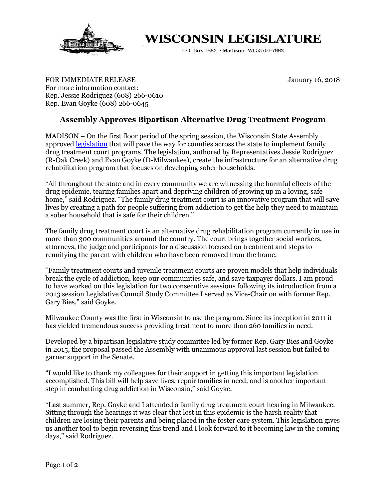

## WISCONSIN LEGISLATURE

P.O. Box 7882 · Madison, WI 53707-7882

FOR IMMEDIATE RELEASE **FOR IMMEDIATE RELEASE** For more information contact: Rep. Jessie Rodriguez (608) 266-0610 Rep. Evan Goyke (608) 266-0645

## **Assembly Approves Bipartisan Alternative Drug Treatment Program**

MADISON – On the first floor period of the spring session, the Wisconsin State Assembly approved [legislation](https://docs.legis.wisconsin.gov/2017/proposals/reg/sen/bill/sb390) that will pave the way for counties across the state to implement family drug treatment court programs. The legislation, authored by Representatives Jessie Rodriguez (R-Oak Creek) and Evan Goyke (D-Milwaukee), create the infrastructure for an alternative drug rehabilitation program that focuses on developing sober households.

"All throughout the state and in every community we are witnessing the harmful effects of the drug epidemic, tearing families apart and depriving children of growing up in a loving, safe home," said Rodriguez. "The family drug treatment court is an innovative program that will save lives by creating a path for people suffering from addiction to get the help they need to maintain a sober household that is safe for their children."

The family drug treatment court is an alternative drug rehabilitation program currently in use in more than 300 communities around the country. The court brings together social workers, attorneys, the judge and participants for a discussion focused on treatment and steps to reunifying the parent with children who have been removed from the home.

"Family treatment courts and juvenile treatment courts are proven models that help individuals break the cycle of addiction, keep our communities safe, and save taxpayer dollars. I am proud to have worked on this legislation for two consecutive sessions following its introduction from a 2013 session Legislative Council Study Committee I served as Vice-Chair on with former Rep. Gary Bies," said Goyke.

Milwaukee County was the first in Wisconsin to use the program. Since its inception in 2011 it has yielded tremendous success providing treatment to more than 260 families in need.

Developed by a bipartisan legislative study committee led by former Rep. Gary Bies and Goyke in 2015, the proposal passed the Assembly with unanimous approval last session but failed to garner support in the Senate.

"I would like to thank my colleagues for their support in getting this important legislation accomplished. This bill will help save lives, repair families in need, and is another important step in combatting drug addiction in Wisconsin," said Goyke.

"Last summer, Rep. Goyke and I attended a family drug treatment court hearing in Milwaukee. Sitting through the hearings it was clear that lost in this epidemic is the harsh reality that children are losing their parents and being placed in the foster care system. This legislation gives us another tool to begin reversing this trend and I look forward to it becoming law in the coming days," said Rodriguez.